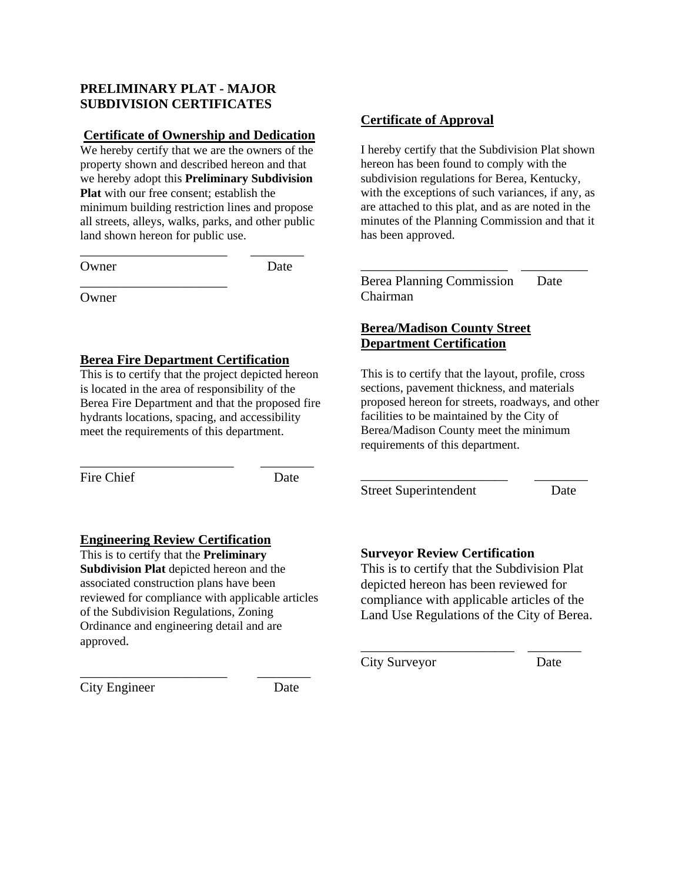## **PRELIMINARY PLAT - MAJOR SUBDIVISION CERTIFICATES**

#### **Certificate of Ownership and Dedication**

We hereby certify that we are the owners of the property shown and described hereon and that we hereby adopt this **Preliminary Subdivision Plat** with our free consent; establish the minimum building restriction lines and propose all streets, alleys, walks, parks, and other public land shown hereon for public use.

\_\_\_\_\_\_\_\_\_\_\_\_\_\_\_\_\_\_\_\_\_\_ \_\_\_\_\_\_\_\_

\_\_\_\_\_\_\_\_\_\_\_\_\_\_\_\_\_\_\_\_\_\_

Owner Date

**Owner** 

### **Berea Fire Department Certification**

This is to certify that the project depicted hereon is located in the area of responsibility of the Berea Fire Department and that the proposed fire hydrants locations, spacing, and accessibility meet the requirements of this department.

\_\_\_\_\_\_\_\_\_\_\_\_\_\_\_\_\_\_\_\_\_\_\_ \_\_\_\_\_\_\_\_

Fire Chief Date

### **Engineering Review Certification**

This is to certify that the **Preliminary Subdivision Plat** depicted hereon and the associated construction plans have been reviewed for compliance with applicable articles of the Subdivision Regulations, Zoning Ordinance and engineering detail and are approved.

\_\_\_\_\_\_\_\_\_\_\_\_\_\_\_\_\_\_\_\_\_\_ \_\_\_\_\_\_\_\_

City Engineer Date

### **Certificate of Approval**

I hereby certify that the Subdivision Plat shown hereon has been found to comply with the subdivision regulations for Berea, Kentucky, with the exceptions of such variances, if any, as are attached to this plat, and as are noted in the minutes of the Planning Commission and that it has been approved.

\_\_\_\_\_\_\_\_\_\_\_\_\_\_\_\_\_\_\_\_\_\_ \_\_\_\_\_\_\_\_\_\_

Berea Planning Commission Date Chairman

## **Berea/Madison County Street Department Certification**

This is to certify that the layout, profile, cross sections, pavement thickness, and materials proposed hereon for streets, roadways, and other facilities to be maintained by the City of Berea/Madison County meet the minimum requirements of this department.

\_\_\_\_\_\_\_\_\_\_\_\_\_\_\_\_\_\_\_\_\_\_ \_\_\_\_\_\_\_\_

Street Superintendent Date

### **Surveyor Review Certification**

This is to certify that the Subdivision Plat depicted hereon has been reviewed for compliance with applicable articles of the Land Use Regulations of the City of Berea.

\_\_\_\_\_\_\_\_\_\_\_\_\_\_\_\_\_\_\_\_\_\_\_ \_\_\_\_\_\_\_\_

City Surveyor Date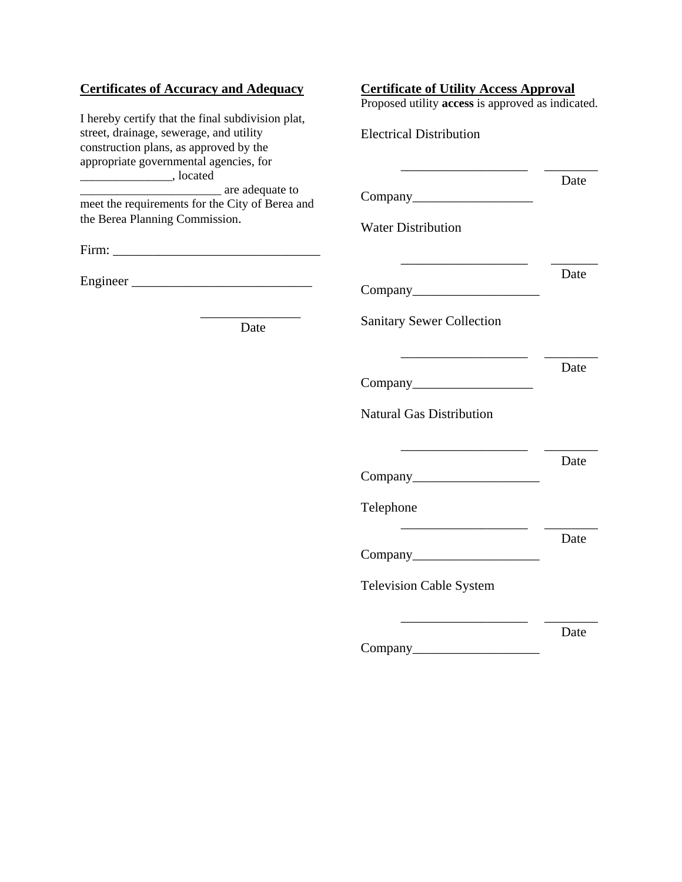## **Certificates of Accuracy and Adequacy**

I hereby certify that the final subdivision plat, street, drainage, sewerage, and utility construction plans, as approved by the appropriate governmental agencies, for  $\frac{1}{2}$ , located <u>\_\_\_\_\_\_\_\_\_\_\_\_\_\_\_\_\_\_\_\_\_</u> are adequate to meet the requirements for the City of Berea and the Berea Planning Commission.

Firm: \_\_\_\_\_\_\_\_\_\_\_\_\_\_\_\_\_\_\_\_\_\_\_\_\_\_\_\_\_\_\_

Engineer \_\_\_\_\_\_\_\_\_\_\_\_\_\_\_\_\_\_\_\_\_\_\_\_\_\_\_

\_\_\_\_\_\_\_\_\_\_\_\_\_\_\_ Date

| Proposed utility access is approved as indicated. |      |
|---------------------------------------------------|------|
| <b>Electrical Distribution</b>                    |      |
|                                                   | Date |
| Company                                           |      |
| <b>Water Distribution</b>                         |      |
|                                                   | Date |
| Company                                           |      |
| <b>Sanitary Sewer Collection</b>                  |      |
|                                                   | Date |
| <b>Natural Gas Distribution</b>                   |      |
|                                                   | Date |
| Telephone                                         |      |
|                                                   | Date |
| <b>Television Cable System</b>                    |      |
|                                                   |      |
| Company_                                          | Date |